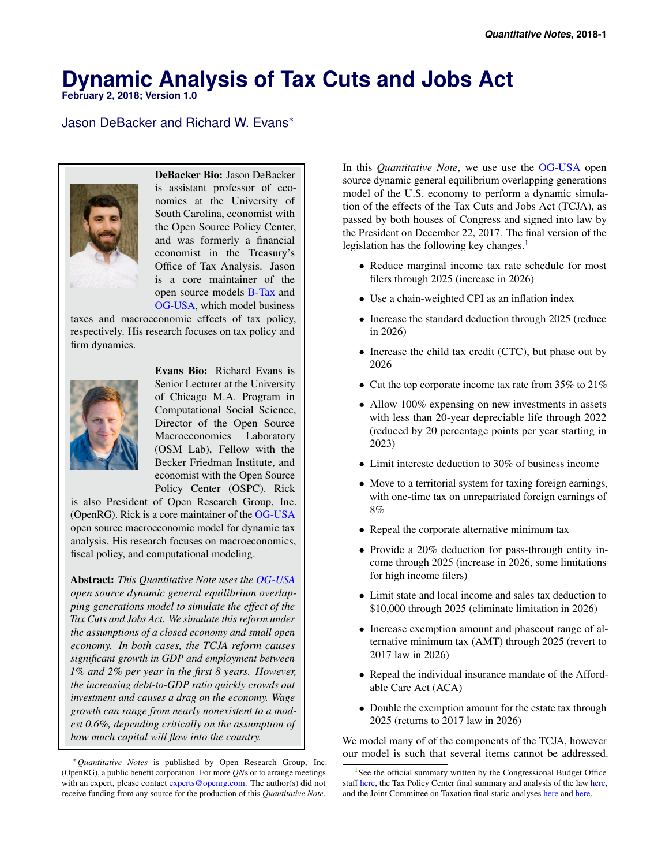# **Dynamic Analysis of Tax Cuts and Jobs Act**

**February 2, 2018; Version 1.0**

## Jason DeBacker and Richard W. Evans<sup>∗</sup>



DeBacker Bio: Jason DeBacker is assistant professor of economics at the University of South Carolina, economist with the Open Source Policy Center, and was formerly a financial economist in the Treasury's Office of Tax Analysis. Jason is a core maintainer of the open source models [B-Tax](https://github.com/open-source-economics/B-Tax) and [OG-USA,](https://github.com/open-source-economics/OG-USA) which model business

taxes and macroeconomic effects of tax policy, respectively. His research focuses on tax policy and firm dynamics.



Evans Bio: Richard Evans is Senior Lecturer at the University of Chicago M.A. Program in Computational Social Science, Director of the Open Source Macroeconomics Laboratory (OSM Lab), Fellow with the Becker Friedman Institute, and economist with the Open Source Policy Center (OSPC). Rick

is also President of Open Research Group, Inc. (OpenRG). Rick is a core maintainer of the [OG-USA](https://github.com/open-source-economics/OG-USA) open source macroeconomic model for dynamic tax analysis. His research focuses on macroeconomics, fiscal policy, and computational modeling.

Abstract: *This Quantitative Note uses the [OG-USA](https://github.com/open-source-economics/OG-USA) open source dynamic general equilibrium overlapping generations model to simulate the effect of the Tax Cuts and Jobs Act. We simulate this reform under the assumptions of a closed economy and small open economy. In both cases, the TCJA reform causes significant growth in GDP and employment between 1% and 2% per year in the first 8 years. However, the increasing debt-to-GDP ratio quickly crowds out investment and causes a drag on the economy. Wage growth can range from nearly nonexistent to a modest 0.6%, depending critically on the assumption of how much capital will flow into the country.*

In this *Quantitative Note*, we use use the [OG-USA](https://github.com/open-source-economics/OG-USA) open source dynamic general equilibrium overlapping generations model of the U.S. economy to perform a dynamic simulation of the effects of the Tax Cuts and Jobs Act (TCJA), as passed by both houses of Congress and signed into law by the President on December 22, 2017. The final version of the legislation has the following key changes. $<sup>1</sup>$  $<sup>1</sup>$  $<sup>1</sup>$ </sup>

- Reduce marginal income tax rate schedule for most filers through 2025 (increase in 2026)
- Use a chain-weighted CPI as an inflation index
- Increase the standard deduction through 2025 (reduce in 2026)
- Increase the child tax credit (CTC), but phase out by 2026
- Cut the top corporate income tax rate from 35% to 21%
- Allow 100% expensing on new investments in assets with less than 20-year depreciable life through 2022 (reduced by 20 percentage points per year starting in 2023)
- Limit intereste deduction to 30% of business income
- Move to a territorial system for taxing foreign earnings, with one-time tax on unrepatriated foreign earnings of 8%
- Repeal the corporate alternative minimum tax
- Provide a 20% deduction for pass-through entity income through 2025 (increase in 2026, some limitations for high income filers)
- Limit state and local income and sales tax deduction to \$10,000 through 2025 (eliminate limitation in 2026)
- Increase exemption amount and phaseout range of alternative minimum tax (AMT) through 2025 (revert to 2017 law in 2026)
- Repeal the individual insurance mandate of the Affordable Care Act (ACA)
- Double the exemption amount for the estate tax through 2025 (returns to 2017 law in 2026)

We model many of of the components of the TCJA, however our model is such that several items cannot be addressed.

<sup>∗</sup>*Quantitative Notes* is published by Open Research Group, Inc. (OpenRG), a public benefit corporation. For more *QN*s or to arrange meetings with an expert, please contact [experts@openrg.com.](mailto:experts@openrg.com) The author(s) did not receive funding from any source for the production of this *Quantitative Note*.

<span id="page-0-0"></span><sup>&</sup>lt;sup>1</sup>See the official summary written by the Congressional Budget Office staff [here,](http://www.taxpolicycenter.org/feature/analysis-tax-cuts-and-jobs-act) the Tax Policy Center final summary and analysis of the law here, and the Joint Committee on Taxation final static analyses [here](https://www.jct.gov/publications.html?func=startdown&id=5054) and [here.](https://www.jct.gov/publications.html?func=startdown&id=5053)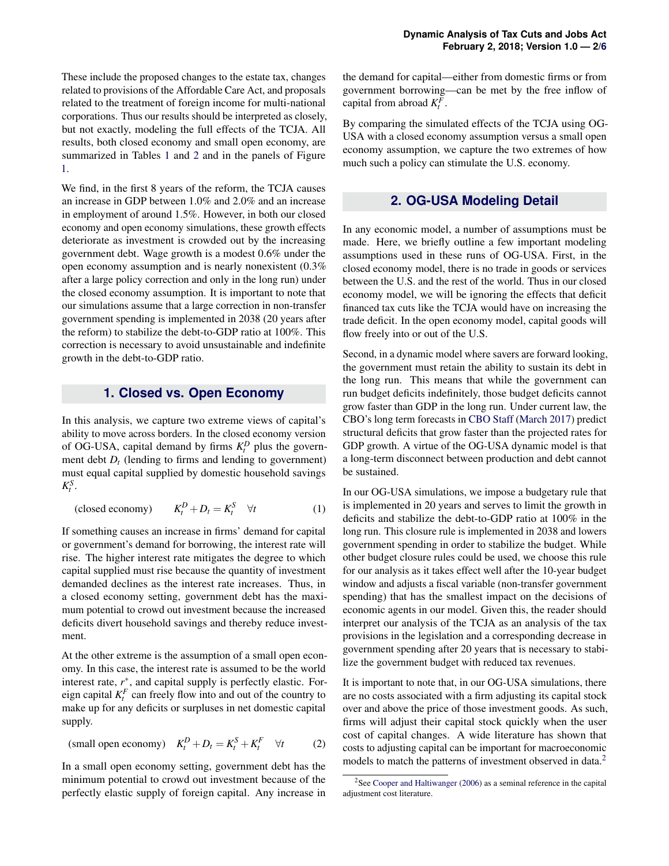These include the proposed changes to the estate tax, changes related to provisions of the Affordable Care Act, and proposals related to the treatment of foreign income for multi-national corporations. Thus our results should be interpreted as closely, but not exactly, modeling the full effects of the TCJA. All results, both closed economy and small open economy, are summarized in Tables [1](#page-2-0) and [2](#page-2-1) and in the panels of Figure [1.](#page-5-1)

We find, in the first 8 years of the reform, the TCJA causes an increase in GDP between 1.0% and 2.0% and an increase in employment of around 1.5%. However, in both our closed economy and open economy simulations, these growth effects deteriorate as investment is crowded out by the increasing government debt. Wage growth is a modest 0.6% under the open economy assumption and is nearly nonexistent (0.3% after a large policy correction and only in the long run) under the closed economy assumption. It is important to note that our simulations assume that a large correction in non-transfer government spending is implemented in 2038 (20 years after the reform) to stabilize the debt-to-GDP ratio at 100%. This correction is necessary to avoid unsustainable and indefinite growth in the debt-to-GDP ratio.

### **1. Closed vs. Open Economy**

In this analysis, we capture two extreme views of capital's ability to move across borders. In the closed economy version of OG-USA, capital demand by firms  $K_t^D$  plus the government debt  $D_t$  (lending to firms and lending to government) must equal capital supplied by domestic household savings  $K_t^S$ .

(closed economy) 
$$
K_t^D + D_t = K_t^S \quad \forall t
$$
 (1)

If something causes an increase in firms' demand for capital or government's demand for borrowing, the interest rate will rise. The higher interest rate mitigates the degree to which capital supplied must rise because the quantity of investment demanded declines as the interest rate increases. Thus, in a closed economy setting, government debt has the maximum potential to crowd out investment because the increased deficits divert household savings and thereby reduce investment.

At the other extreme is the assumption of a small open economy. In this case, the interest rate is assumed to be the world interest rate,  $r^*$ , and capital supply is perfectly elastic. Foreign capital  $K_t^F$  can freely flow into and out of the country to make up for any deficits or surpluses in net domestic capital supply.

$$
\text{(small open economy)} \quad K_t^D + D_t = K_t^S + K_t^F \quad \forall t \tag{2}
$$

In a small open economy setting, government debt has the minimum potential to crowd out investment because of the perfectly elastic supply of foreign capital. Any increase in

the demand for capital—either from domestic firms or from government borrowing—can be met by the free inflow of capital from abroad  $K_t^F$ .

By comparing the simulated effects of the TCJA using OG-USA with a closed economy assumption versus a small open economy assumption, we capture the two extremes of how much such a policy can stimulate the U.S. economy.

## **2. OG-USA Modeling Detail**

In any economic model, a number of assumptions must be made. Here, we briefly outline a few important modeling assumptions used in these runs of OG-USA. First, in the closed economy model, there is no trade in goods or services between the U.S. and the rest of the world. Thus in our closed economy model, we will be ignoring the effects that deficit financed tax cuts like the TCJA would have on increasing the trade deficit. In the open economy model, capital goods will flow freely into or out of the U.S.

Second, in a dynamic model where savers are forward looking, the government must retain the ability to sustain its debt in the long run. This means that while the government can run budget deficits indefinitely, those budget deficits cannot grow faster than GDP in the long run. Under current law, the CBO's long term forecasts in [CBO Staff](#page-4-0) [\(March 2017\)](#page-4-0) predict structural deficits that grow faster than the projected rates for GDP growth. A virtue of the OG-USA dynamic model is that a long-term disconnect between production and debt cannot be sustained.

In our OG-USA simulations, we impose a budgetary rule that is implemented in 20 years and serves to limit the growth in deficits and stabilize the debt-to-GDP ratio at 100% in the long run. This closure rule is implemented in 2038 and lowers government spending in order to stabilize the budget. While other budget closure rules could be used, we choose this rule for our analysis as it takes effect well after the 10-year budget window and adjusts a fiscal variable (non-transfer government spending) that has the smallest impact on the decisions of economic agents in our model. Given this, the reader should interpret our analysis of the TCJA as an analysis of the tax provisions in the legislation and a corresponding decrease in government spending after 20 years that is necessary to stabilize the government budget with reduced tax revenues.

It is important to note that, in our OG-USA simulations, there are no costs associated with a firm adjusting its capital stock over and above the price of those investment goods. As such, firms will adjust their capital stock quickly when the user cost of capital changes. A wide literature has shown that costs to adjusting capital can be important for macroeconomic models to match the patterns of investment observed in data.<sup>[2](#page-1-0)</sup>

<span id="page-1-0"></span><sup>&</sup>lt;sup>2</sup>See [Cooper and Haltiwanger](#page-4-1) [\(2006\)](#page-4-1) as a seminal reference in the capital adjustment cost literature.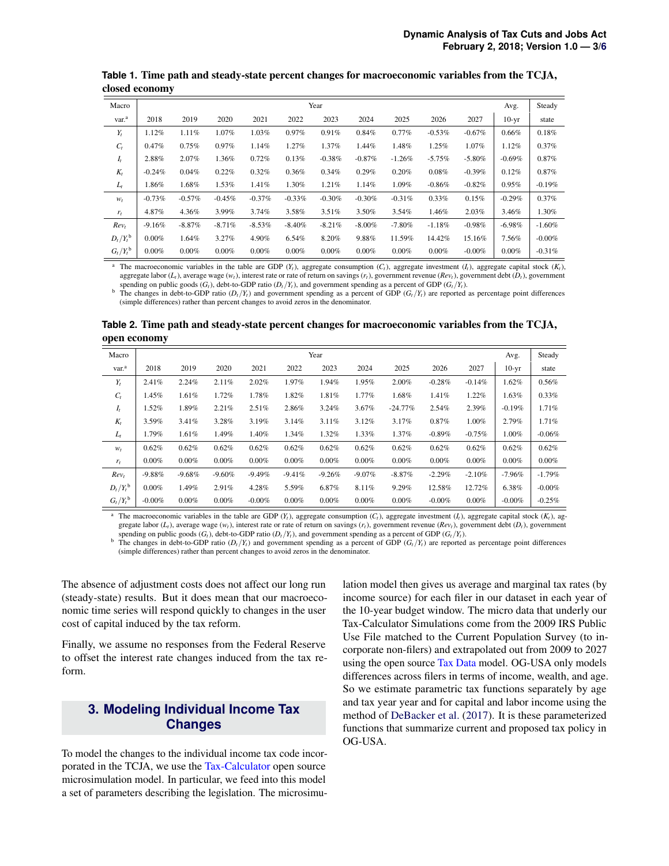| Macro                    | Year      |           |           |          |          |          |           |          | Avg.     | Steady   |          |           |
|--------------------------|-----------|-----------|-----------|----------|----------|----------|-----------|----------|----------|----------|----------|-----------|
| var. <sup>a</sup>        | 2018      | 2019      | 2020      | 2021     | 2022     | 2023     | 2024      | 2025     | 2026     | 2027     | $10-yr$  | state     |
| $Y_t$                    | 1.12%     | 1.11%     | 1.07%     | 1.03%    | 0.97%    | 0.91%    | 0.84%     | $0.77\%$ | $-0.53%$ | $-0.67%$ | 0.66%    | 0.18%     |
| $C_t$                    | 0.47%     | 0.75%     | 0.97%     | 1.14%    | 1.27%    | 1.37%    | 1.44%     | 1.48%    | 1.25%    | 1.07%    | 1.12%    | 0.37%     |
| $I_t$                    | 2.88%     | 2.07%     | 1.36%     | 0.72%    | 0.13%    | $-0.38%$ | $-0.87%$  | $-1.26%$ | $-5.75%$ | $-5.80%$ | $-0.69%$ | 0.87%     |
| $K_t$                    | $-0.24%$  | 0.04%     | 0.22%     | 0.32%    | 0.36%    | 0.34%    | 0.29%     | 0.20%    | 0.08%    | $-0.39%$ | 0.12%    | 0.87%     |
| $L_t$                    | 1.86%     | 1.68%     | 1.53%     | 1.41%    | 1.30%    | 1.21%    | 1.14%     | 1.09%    | $-0.86%$ | $-0.82%$ | 0.95%    | $-0.19%$  |
| $W_t$                    | $-0.73%$  | $-0.57\%$ | $-0.45\%$ | $-0.37%$ | $-0.33%$ | $-0.30%$ | $-0.30%$  | $-0.31%$ | 0.33%    | 0.15%    | $-0.29%$ | 0.37%     |
| $r_t$                    | 4.87%     | 4.36%     | 3.99%     | 3.74%    | 3.58%    | $3.51\%$ | 3.50%     | 3.54%    | 1.46%    | 2.03%    | 3.46%    | 1.30%     |
| Rev <sub>t</sub>         | $-9.16\%$ | $-8.87\%$ | $-8.71%$  | $-8.53%$ | $-8.40%$ | $-8.21%$ | $-8.00\%$ | $-7.80%$ | $-1.18%$ | $-0.98%$ | $-6.98%$ | $-1.60\%$ |
| $D_t/Y_t^{\mathsf{b}}$   | $0.00\%$  | 1.64%     | 3.27%     | 4.90%    | 6.54%    | 8.20%    | 9.88%     | 11.59%   | 14.42%   | 15.16%   | 7.56%    | $-0.00%$  |
| $G_t/Y_t^{\mathfrak{b}}$ | 0.00%     | $0.00\%$  | $0.00\%$  | $0.00\%$ | $0.00\%$ | $0.00\%$ | 0.00%     | 0.00%    | 0.00%    | $-0.00%$ | 0.00%    | $-0.31%$  |

<span id="page-2-0"></span>**Table 1.** Time path and steady-state percent changes for macroeconomic variables from the TCJA, closed economy

The macroeconomic variables in the table are GDP  $(Y_t)$ , aggregate consumption  $(C_t)$ , aggregate investment  $(I_t)$ , aggregate capital stock  $(K_t)$ , aggregate labor  $(L_t)$ , average wage  $(w_t)$ , interest rate or rate of return on savings  $(r_t)$ , government revenue  $(\text{Rev}_t)$ , government debt  $(D_t)$ , government spending on public goods  $(G_t)$ , debt-to-GDP ratio  $(D_t/Y_t)$ , and government spending as a percent of GDP  $(G_t/Y_t)$ .

The changes in debt-to-GDP ratio  $(D_t/Y_t)$  and government spending as a percent of GDP  $(G_t/Y_t)$  are reported as percentage point differences (simple differences) rather than percent changes to avoid zeros in the denominator.

<span id="page-2-1"></span>**Table 2.** Time path and steady-state percent changes for macroeconomic variables from the TCJA, open economy

| Macro                  | Year      |          |           |           |          |          |          |           | Avg.      | Steady   |           |           |
|------------------------|-----------|----------|-----------|-----------|----------|----------|----------|-----------|-----------|----------|-----------|-----------|
| var. <sup>a</sup>      | 2018      | 2019     | 2020      | 2021      | 2022     | 2023     | 2024     | 2025      | 2026      | 2027     | $10-yr$   | state     |
| $Y_t$                  | 2.41%     | 2.24%    | 2.11%     | 2.02%     | 1.97%    | 1.94%    | 1.95%    | 2.00%     | $-0.28%$  | $-0.14%$ | 1.62%     | 0.56%     |
| $C_t$                  | 1.45%     | 1.61%    | 1.72%     | 1.78%     | 1.82%    | 1.81%    | 1.77%    | 1.68%     | 1.41%     | 1.22%    | 1.63%     | 0.33%     |
| $I_t$                  | 1.52%     | 1.89%    | 2.21%     | 2.51%     | 2.86%    | 3.24%    | 3.67%    | $-24.77%$ | 2.54%     | 2.39%    | $-0.19%$  | 1.71%     |
| $K_t$                  | 3.59%     | 3.41%    | 3.28%     | 3.19%     | 3.14%    | 3.11%    | 3.12%    | 3.17%     | 0.87%     | 1.00%    | 2.79%     | 1.71%     |
| $L_t$                  | 1.79%     | 1.61%    | 1.49%     | 1.40%     | 1.34%    | 1.32%    | 1.33%    | 1.37%     | $-0.89%$  | $-0.75%$ | $1.00\%$  | $-0.06%$  |
| $W_t$                  | 0.62%     | 0.62%    | 0.62%     | 0.62%     | 0.62%    | 0.62%    | 0.62%    | 0.62%     | 0.62%     | 0.62%    | 0.62%     | 0.62%     |
| $r_t$                  | $0.00\%$  | $0.00\%$ | $0.00\%$  | $0.00\%$  | 0.00%    | 0.00%    | 0.00%    | $0.00\%$  | 0.00%     | 0.00%    | $0.00\%$  | $0.00\%$  |
| Rev <sub>t</sub>       | $-9.88%$  | $-9.68%$ | $-9.60\%$ | $-9.49%$  | $-9.41%$ | $-9.26%$ | $-9.07%$ | $-8.87\%$ | $-2.29%$  | $-2.10%$ | $-7.96\%$ | $-1.79%$  |
| $D_t/Y_t^{\rm b}$      | $0.00\%$  | 1.49%    | 2.91%     | 4.28%     | 5.59%    | 6.87%    | 8.11%    | 9.29%     | 12.58%    | 12.72%   | 6.38%     | $-0.00\%$ |
| $G_t/Y_t^{\mathsf{b}}$ | $-0.00\%$ | $0.00\%$ | $0.00\%$  | $-0.00\%$ | $0.00\%$ | 0.00%    | 0.00%    | $0.00\%$  | $-0.00\%$ | 0.00%    | $-0.00\%$ | $-0.25%$  |

<sup>a</sup> The macroeconomic variables in the table are GDP  $(Y_t)$ , aggregate consumption  $(C_t)$ , aggregate investment  $(I_t)$ , aggregate capital stock  $(K_t)$ , aggregate labor  $(L_t)$ , average wage  $(w_t)$ , interest rate or rate of return on savings  $(r_t)$ , government revenue  $(Rev_t)$ , government debt  $(D_t)$ , government spending on public goods  $(G_t)$ , debt-to-GDP ratio  $(D_t/Y_t)$ , and government spending as a percent of GDP  $(G_t/Y_t)$ .

The changes in debt-to-GDP ratio  $(D_t/Y_t)$  and government spending as a percent of GDP  $(G_t/Y_t)$  are reported as percentage point differences (simple differences) rather than percent changes to avoid zeros in the denominator.

The absence of adjustment costs does not affect our long run (steady-state) results. But it does mean that our macroeconomic time series will respond quickly to changes in the user cost of capital induced by the tax reform.

Finally, we assume no responses from the Federal Reserve to offset the interest rate changes induced from the tax reform.

## **3. Modeling Individual Income Tax Changes**

To model the changes to the individual income tax code incorporated in the TCJA, we use the [Tax-Calculator](https://github.com/open-source-economics/Tax-Calculator) open source microsimulation model. In particular, we feed into this model a set of parameters describing the legislation. The microsimu-

lation model then gives us average and marginal tax rates (by income source) for each filer in our dataset in each year of the 10-year budget window. The micro data that underly our Tax-Calculator Simulations come from the 2009 IRS Public Use File matched to the Current Population Survey (to incorporate non-filers) and extrapolated out from 2009 to 2027 using the open source [Tax Data](https://github.com/open-source-economics/taxdata) model. OG-USA only models differences across filers in terms of income, wealth, and age. So we estimate parametric tax functions separately by age and tax year year and for capital and labor income using the method of [DeBacker et al.](#page-4-2) [\(2017\)](#page-4-2). It is these parameterized functions that summarize current and proposed tax policy in OG-USA.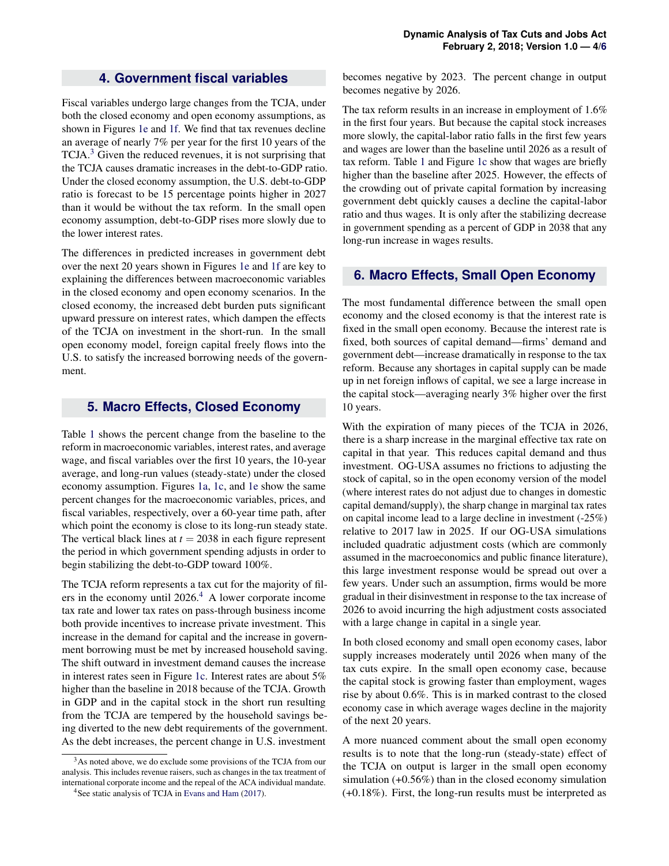## **4. Government fiscal variables**

Fiscal variables undergo large changes from the TCJA, under both the closed economy and open economy assumptions, as shown in Figures [1e](#page-5-1) and [1f.](#page-5-1) We find that tax revenues decline an average of nearly 7% per year for the first 10 years of the TCJA.<sup>[3](#page-3-0)</sup> Given the reduced revenues, it is not surprising that the TCJA causes dramatic increases in the debt-to-GDP ratio. Under the closed economy assumption, the U.S. debt-to-GDP ratio is forecast to be 15 percentage points higher in 2027 than it would be without the tax reform. In the small open economy assumption, debt-to-GDP rises more slowly due to the lower interest rates.

The differences in predicted increases in government debt over the next 20 years shown in Figures [1e](#page-5-1) and [1f](#page-5-1) are key to explaining the differences between macroeconomic variables in the closed economy and open economy scenarios. In the closed economy, the increased debt burden puts significant upward pressure on interest rates, which dampen the effects of the TCJA on investment in the short-run. In the small open economy model, foreign capital freely flows into the U.S. to satisfy the increased borrowing needs of the government.

#### **5. Macro Effects, Closed Economy**

Table [1](#page-2-0) shows the percent change from the baseline to the reform in macroeconomic variables, interest rates, and average wage, and fiscal variables over the first 10 years, the 10-year average, and long-run values (steady-state) under the closed economy assumption. Figures [1a,](#page-5-1) [1c,](#page-5-1) and [1e](#page-5-1) show the same percent changes for the macroeconomic variables, prices, and fiscal variables, respectively, over a 60-year time path, after which point the economy is close to its long-run steady state. The vertical black lines at  $t = 2038$  in each figure represent the period in which government spending adjusts in order to begin stabilizing the debt-to-GDP toward 100%.

The TCJA reform represents a tax cut for the majority of filers in the economy until  $2026<sup>4</sup>$  $2026<sup>4</sup>$  $2026<sup>4</sup>$ . A lower corporate income tax rate and lower tax rates on pass-through business income both provide incentives to increase private investment. This increase in the demand for capital and the increase in government borrowing must be met by increased household saving. The shift outward in investment demand causes the increase in interest rates seen in Figure [1c.](#page-5-1) Interest rates are about 5% higher than the baseline in 2018 because of the TCJA. Growth in GDP and in the capital stock in the short run resulting from the TCJA are tempered by the household savings being diverted to the new debt requirements of the government. As the debt increases, the percent change in U.S. investment

becomes negative by 2023. The percent change in output becomes negative by 2026.

The tax reform results in an increase in employment of 1.6% in the first four years. But because the capital stock increases more slowly, the capital-labor ratio falls in the first few years and wages are lower than the baseline until 2026 as a result of tax reform. Table [1](#page-2-0) and Figure [1c](#page-5-1) show that wages are briefly higher than the baseline after 2025. However, the effects of the crowding out of private capital formation by increasing government debt quickly causes a decline the capital-labor ratio and thus wages. It is only after the stabilizing decrease in government spending as a percent of GDP in 2038 that any long-run increase in wages results.

## **6. Macro Effects, Small Open Economy**

The most fundamental difference between the small open economy and the closed economy is that the interest rate is fixed in the small open economy. Because the interest rate is fixed, both sources of capital demand—firms' demand and government debt—increase dramatically in response to the tax reform. Because any shortages in capital supply can be made up in net foreign inflows of capital, we see a large increase in the capital stock—averaging nearly 3% higher over the first 10 years.

With the expiration of many pieces of the TCJA in 2026, there is a sharp increase in the marginal effective tax rate on capital in that year. This reduces capital demand and thus investment. OG-USA assumes no frictions to adjusting the stock of capital, so in the open economy version of the model (where interest rates do not adjust due to changes in domestic capital demand/supply), the sharp change in marginal tax rates on capital income lead to a large decline in investment (-25%) relative to 2017 law in 2025. If our OG-USA simulations included quadratic adjustment costs (which are commonly assumed in the macroeconomics and public finance literature), this large investment response would be spread out over a few years. Under such an assumption, firms would be more gradual in their disinvestment in response to the tax increase of 2026 to avoid incurring the high adjustment costs associated with a large change in capital in a single year.

In both closed economy and small open economy cases, labor supply increases moderately until 2026 when many of the tax cuts expire. In the small open economy case, because the capital stock is growing faster than employment, wages rise by about 0.6%. This is in marked contrast to the closed economy case in which average wages decline in the majority of the next 20 years.

A more nuanced comment about the small open economy results is to note that the long-run (steady-state) effect of the TCJA on output is larger in the small open economy simulation (+0.56%) than in the closed economy simulation (+0.18%). First, the long-run results must be interpreted as

<span id="page-3-0"></span><sup>&</sup>lt;sup>3</sup>As noted above, we do exclude some provisions of the TCJA from our analysis. This includes revenue raisers, such as changes in the tax treatment of international corporate income and the repeal of the ACA individual mandate.

<span id="page-3-1"></span><sup>&</sup>lt;sup>4</sup>See static analysis of TCJA in [Evans and Ham](#page-4-3) [\(2017\)](#page-4-3).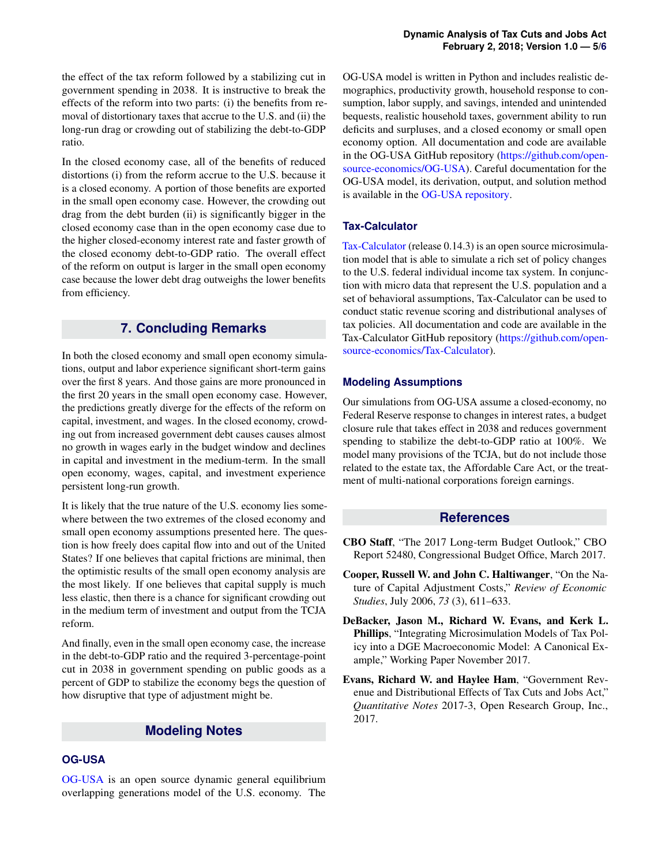the effect of the tax reform followed by a stabilizing cut in government spending in 2038. It is instructive to break the effects of the reform into two parts: (i) the benefits from removal of distortionary taxes that accrue to the U.S. and (ii) the long-run drag or crowding out of stabilizing the debt-to-GDP ratio.

In the closed economy case, all of the benefits of reduced distortions (i) from the reform accrue to the U.S. because it is a closed economy. A portion of those benefits are exported in the small open economy case. However, the crowding out drag from the debt burden (ii) is significantly bigger in the closed economy case than in the open economy case due to the higher closed-economy interest rate and faster growth of the closed economy debt-to-GDP ratio. The overall effect of the reform on output is larger in the small open economy case because the lower debt drag outweighs the lower benefits from efficiency.

## **7. Concluding Remarks**

In both the closed economy and small open economy simulations, output and labor experience significant short-term gains over the first 8 years. And those gains are more pronounced in the first 20 years in the small open economy case. However, the predictions greatly diverge for the effects of the reform on capital, investment, and wages. In the closed economy, crowding out from increased government debt causes causes almost no growth in wages early in the budget window and declines in capital and investment in the medium-term. In the small open economy, wages, capital, and investment experience persistent long-run growth.

It is likely that the true nature of the U.S. economy lies somewhere between the two extremes of the closed economy and small open economy assumptions presented here. The question is how freely does capital flow into and out of the United States? If one believes that capital frictions are minimal, then the optimistic results of the small open economy analysis are the most likely. If one believes that capital supply is much less elastic, then there is a chance for significant crowding out in the medium term of investment and output from the TCJA reform.

And finally, even in the small open economy case, the increase in the debt-to-GDP ratio and the required 3-percentage-point cut in 2038 in government spending on public goods as a percent of GDP to stabilize the economy begs the question of how disruptive that type of adjustment might be.

## **Modeling Notes**

## **OG-USA**

[OG-USA](https://github.com/open-source-economics/OG-USA) is an open source dynamic general equilibrium overlapping generations model of the U.S. economy. The OG-USA model is written in Python and includes realistic demographics, productivity growth, household response to consumption, labor supply, and savings, intended and unintended bequests, realistic household taxes, government ability to run deficits and surpluses, and a closed economy or small open economy option. All documentation and code are available in the OG-USA GitHub repository [\(https://github.com/open](https://github.com/open-source-economics/OG-USA)[source-economics/OG-USA\)](https://github.com/open-source-economics/OG-USA). Careful documentation for the OG-USA model, its derivation, output, and solution method is available in the [OG-USA repository.](https://github.com/rickecon/OG-USA/blob/doc/documentation/OGUSAdoc.pdf)

### **Tax-Calculator**

[Tax-Calculator](https://github.com/open-source-economics/Tax-Calculator) (release 0.14.3) is an open source microsimulation model that is able to simulate a rich set of policy changes to the U.S. federal individual income tax system. In conjunction with micro data that represent the U.S. population and a set of behavioral assumptions, Tax-Calculator can be used to conduct static revenue scoring and distributional analyses of tax policies. All documentation and code are available in the Tax-Calculator GitHub repository [\(https://github.com/open](https://github.com/open-source-economics/Tax-Calculator)[source-economics/Tax-Calculator\)](https://github.com/open-source-economics/Tax-Calculator).

### **Modeling Assumptions**

Our simulations from OG-USA assume a closed-economy, no Federal Reserve response to changes in interest rates, a budget closure rule that takes effect in 2038 and reduces government spending to stabilize the debt-to-GDP ratio at 100%. We model many provisions of the TCJA, but do not include those related to the estate tax, the Affordable Care Act, or the treatment of multi-national corporations foreign earnings.

## **References**

- <span id="page-4-0"></span>CBO Staff, "The 2017 Long-term Budget Outlook," CBO Report 52480, Congressional Budget Office, March 2017.
- <span id="page-4-1"></span>Cooper, Russell W. and John C. Haltiwanger, "On the Nature of Capital Adjustment Costs," *Review of Economic Studies*, July 2006, *73* (3), 611–633.
- <span id="page-4-2"></span>DeBacker, Jason M., Richard W. Evans, and Kerk L. Phillips, "Integrating Microsimulation Models of Tax Policy into a DGE Macroeconomic Model: A Canonical Example," Working Paper November 2017.
- <span id="page-4-3"></span>Evans, Richard W. and Haylee Ham, "Government Revenue and Distributional Effects of Tax Cuts and Jobs Act," *Quantitative Notes* 2017-3, Open Research Group, Inc., 2017.